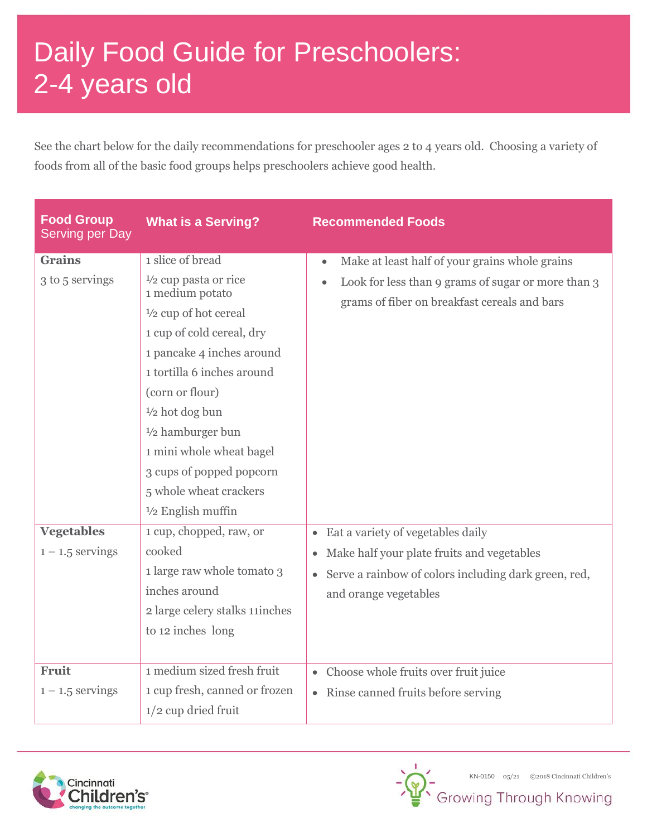## Daily Food Guide for Preschoolers: 2-4 years old

See the chart below for the daily recommendations for preschooler ages 2 to 4 years old. Choosing a variety of foods from all of the basic food groups helps preschoolers achieve good health.

| <b>Food Group</b><br><b>Serving per Day</b> | <b>What is a Serving?</b>                                                                                                                                                                                                                                                                                                                                                                  | <b>Recommended Foods</b>                                                                                                                                                                                |
|---------------------------------------------|--------------------------------------------------------------------------------------------------------------------------------------------------------------------------------------------------------------------------------------------------------------------------------------------------------------------------------------------------------------------------------------------|---------------------------------------------------------------------------------------------------------------------------------------------------------------------------------------------------------|
| <b>Grains</b><br>3 to 5 servings            | 1 slice of bread<br>$\frac{1}{2}$ cup pasta or rice<br>1 medium potato<br>$\frac{1}{2}$ cup of hot cereal<br>1 cup of cold cereal, dry<br>1 pancake 4 inches around<br>1 tortilla 6 inches around<br>(corn or flour)<br>$\frac{1}{2}$ hot dog bun<br>$1/2$ hamburger bun<br>1 mini whole wheat bagel<br>3 cups of popped popcorn<br>5 whole wheat crackers<br>$\frac{1}{2}$ English muffin | Make at least half of your grains whole grains<br>$\bullet$<br>Look for less than 9 grams of sugar or more than 3<br>grams of fiber on breakfast cereals and bars                                       |
| <b>Vegetables</b><br>$1 - 1.5$ servings     | 1 cup, chopped, raw, or<br>cooked<br>1 large raw whole tomato 3<br>inches around<br>2 large celery stalks 11 inches<br>to 12 inches long                                                                                                                                                                                                                                                   | Eat a variety of vegetables daily<br>$\bullet$<br>Make half your plate fruits and vegetables<br>$\bullet$<br>Serve a rainbow of colors including dark green, red,<br>$\bullet$<br>and orange vegetables |
| <b>Fruit</b><br>$1 - 1.5$ servings          | 1 medium sized fresh fruit<br>1 cup fresh, canned or frozen<br>$1/2$ cup dried fruit                                                                                                                                                                                                                                                                                                       | • Choose whole fruits over fruit juice<br>• Rinse canned fruits before serving                                                                                                                          |



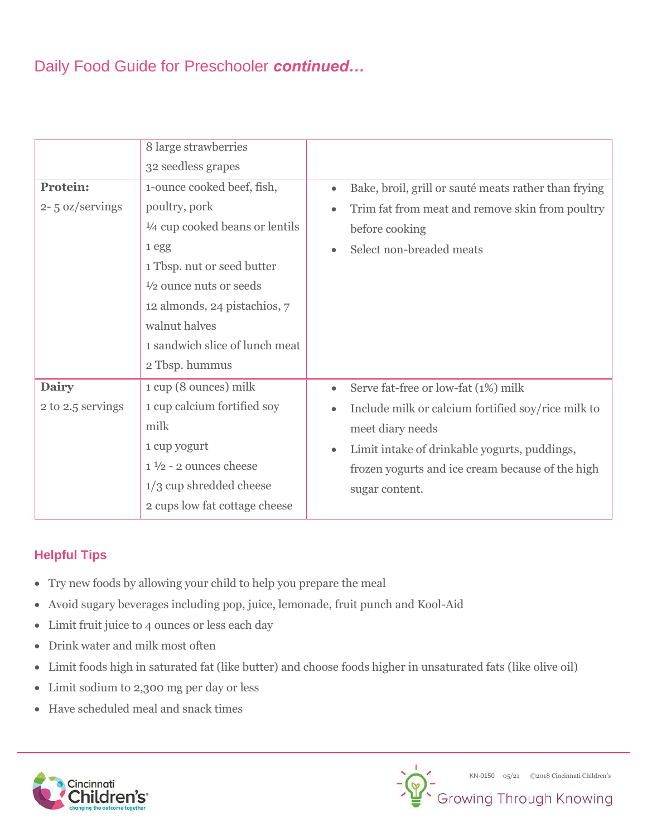## Daily Food Guide for Preschooler *continued…*

|                     | 8 large strawberries                      |                                                                   |
|---------------------|-------------------------------------------|-------------------------------------------------------------------|
|                     | 32 seedless grapes                        |                                                                   |
| <b>Protein:</b>     | 1-ounce cooked beef, fish,                | Bake, broil, grill or sauté meats rather than frying<br>$\bullet$ |
| $2 - 5$ oz/servings | poultry, pork                             | Trim fat from meat and remove skin from poultry<br>$\bullet$      |
|                     | $\frac{1}{4}$ cup cooked beans or lentils | before cooking                                                    |
|                     | 1egg                                      | Select non-breaded meats                                          |
|                     | 1 Tbsp. nut or seed butter                |                                                                   |
|                     | $\frac{1}{2}$ ounce nuts or seeds         |                                                                   |
|                     | 12 almonds, 24 pistachios, 7              |                                                                   |
|                     | walnut halves                             |                                                                   |
|                     | 1 sandwich slice of lunch meat            |                                                                   |
|                     | 2 Tbsp. hummus                            |                                                                   |
| <b>Dairy</b>        | 1 cup (8 ounces) milk                     | Serve fat-free or low-fat (1%) milk                               |
| 2 to 2.5 servings   | 1 cup calcium fortified soy               | Include milk or calcium fortified soy/rice milk to                |
|                     | milk                                      | meet diary needs                                                  |
|                     | 1 cup yogurt                              | Limit intake of drinkable yogurts, puddings,                      |
|                     | $1\frac{1}{2}$ - 2 ounces cheese          | frozen yogurts and ice cream because of the high                  |
|                     | $1/3$ cup shredded cheese                 | sugar content.                                                    |
|                     | 2 cups low fat cottage cheese             |                                                                   |

## **Helpful Tips**

- Try new foods by allowing your child to help you prepare the meal
- Avoid sugary beverages including pop, juice, lemonade, fruit punch and Kool-Aid
- Limit fruit juice to 4 ounces or less each day
- Drink water and milk most often
- Limit foods high in saturated fat (like butter) and choose foods higher in unsaturated fats (like olive oil)
- Limit sodium to 2,300 mg per day or less
- Have scheduled meal and snack times